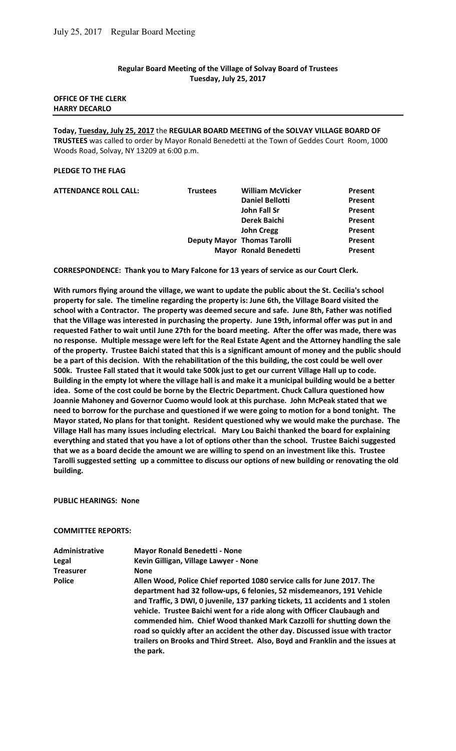## **Regular Board Meeting of the Village of Solvay Board of Trustees Tuesday, July 25, 2017**

## **OFFICE OF THE CLERK HARRY DECARLO**

**Today, Tuesday, July 25, 2017** the **REGULAR BOARD MEETING of the SOLVAY VILLAGE BOARD OF TRUSTEES** was called to order by Mayor Ronald Benedetti at the Town of Geddes Court Room, 1000 Woods Road, Solvay, NY 13209 at 6:00 p.m.

## **PLEDGE TO THE FLAG**

| <b>Trustees</b> | <b>William McVicker</b> | Present                                                             |
|-----------------|-------------------------|---------------------------------------------------------------------|
|                 | <b>Daniel Bellotti</b>  | Present                                                             |
|                 | John Fall Sr            | Present                                                             |
|                 | Derek Baichi            | Present                                                             |
|                 | <b>John Cregg</b>       | Present                                                             |
|                 |                         | Present                                                             |
|                 |                         | Present                                                             |
|                 |                         | <b>Deputy Mayor Thomas Tarolli</b><br><b>Mayor Ronald Benedetti</b> |

**CORRESPONDENCE: Thank you to Mary Falcone for 13 years of service as our Court Clerk.** 

**With rumors flying around the village, we want to update the public about the St. Cecilia's school property for sale. The timeline regarding the property is: June 6th, the Village Board visited the school with a Contractor. The property was deemed secure and safe. June 8th, Father was notified that the Village was interested in purchasing the property. June 19th, informal offer was put in and requested Father to wait until June 27th for the board meeting. After the offer was made, there was no response. Multiple message were left for the Real Estate Agent and the Attorney handling the sale of the property. Trustee Baichi stated that this is a significant amount of money and the public should be a part of this decision. With the rehabilitation of the this building, the cost could be well over 500k. Trustee Fall stated that it would take 500k just to get our current Village Hall up to code. Building in the empty lot where the village hall is and make it a municipal building would be a better idea. Some of the cost could be borne by the Electric Department. Chuck Callura questioned how Joannie Mahoney and Governor Cuomo would look at this purchase. John McPeak stated that we need to borrow for the purchase and questioned if we were going to motion for a bond tonight. The Mayor stated, No plans for that tonight. Resident questioned why we would make the purchase. The Village Hall has many issues including electrical. Mary Lou Baichi thanked the board for explaining everything and stated that you have a lot of options other than the school. Trustee Baichi suggested that we as a board decide the amount we are willing to spend on an investment like this. Trustee Tarolli suggested setting up a committee to discuss our options of new building or renovating the old building.** 

### **PUBLIC HEARINGS: None**

#### **COMMITTEE REPORTS:**

| Administrative   | <b>Mayor Ronald Benedetti - None</b>                                                                                                                   |
|------------------|--------------------------------------------------------------------------------------------------------------------------------------------------------|
| Legal            | Kevin Gilligan, Village Lawyer - None                                                                                                                  |
| <b>Treasurer</b> | <b>None</b>                                                                                                                                            |
| <b>Police</b>    | Allen Wood, Police Chief reported 1080 service calls for June 2017. The                                                                                |
|                  | department had 32 follow-ups, 6 felonies, 52 misdemeanors, 191 Vehicle                                                                                 |
|                  | and Traffic, 3 DWI, 0 juvenile, 137 parking tickets, 11 accidents and 1 stolen                                                                         |
|                  | vehicle. Trustee Baichi went for a ride along with Officer Claubaugh and                                                                               |
|                  | commended him. Chief Wood thanked Mark Cazzolli for shutting down the<br>road so quickly after an accident the other day. Discussed issue with tractor |
|                  | trailers on Brooks and Third Street. Also, Boyd and Franklin and the issues at                                                                         |
|                  | the park.                                                                                                                                              |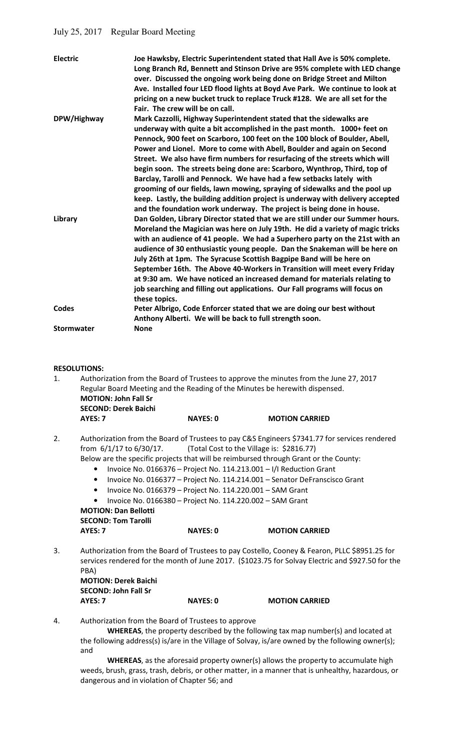| <b>Electric</b>   | Joe Hawksby, Electric Superintendent stated that Hall Ave is 50% complete.<br>Long Branch Rd, Bennett and Stinson Drive are 95% complete with LED change<br>over. Discussed the ongoing work being done on Bridge Street and Milton<br>Ave. Installed four LED flood lights at Boyd Ave Park. We continue to look at<br>pricing on a new bucket truck to replace Truck #128. We are all set for the<br>Fair. The crew will be on call.                                                                                                                                                                                                                                                                                                                                                                                   |
|-------------------|--------------------------------------------------------------------------------------------------------------------------------------------------------------------------------------------------------------------------------------------------------------------------------------------------------------------------------------------------------------------------------------------------------------------------------------------------------------------------------------------------------------------------------------------------------------------------------------------------------------------------------------------------------------------------------------------------------------------------------------------------------------------------------------------------------------------------|
| DPW/Highway       | Mark Cazzolli, Highway Superintendent stated that the sidewalks are<br>underway with quite a bit accomplished in the past month. 1000+ feet on<br>Pennock, 900 feet on Scarboro, 100 feet on the 100 block of Boulder, Abell,<br>Power and Lionel. More to come with Abell, Boulder and again on Second<br>Street. We also have firm numbers for resurfacing of the streets which will<br>begin soon. The streets being done are: Scarboro, Wynthrop, Third, top of<br>Barclay, Tarolli and Pennock. We have had a few setbacks lately with<br>grooming of our fields, lawn mowing, spraying of sidewalks and the pool up                                                                                                                                                                                                |
| Library           | keep. Lastly, the building addition project is underway with delivery accepted<br>and the foundation work underway. The project is being done in house.<br>Dan Golden, Library Director stated that we are still under our Summer hours.<br>Moreland the Magician was here on July 19th. He did a variety of magic tricks<br>with an audience of 41 people. We had a Superhero party on the 21st with an<br>audience of 30 enthusiastic young people. Dan the Snakeman will be here on<br>July 26th at 1pm. The Syracuse Scottish Bagpipe Band will be here on<br>September 16th. The Above 40-Workers in Transition will meet every Friday<br>at 9:30 am. We have noticed an increased demand for materials relating to<br>job searching and filling out applications. Our Fall programs will focus on<br>these topics. |
| Codes             | Peter Albrigo, Code Enforcer stated that we are doing our best without<br>Anthony Alberti. We will be back to full strength soon.                                                                                                                                                                                                                                                                                                                                                                                                                                                                                                                                                                                                                                                                                        |
| <b>Stormwater</b> | <b>None</b>                                                                                                                                                                                                                                                                                                                                                                                                                                                                                                                                                                                                                                                                                                                                                                                                              |
|                   |                                                                                                                                                                                                                                                                                                                                                                                                                                                                                                                                                                                                                                                                                                                                                                                                                          |

|    | <b>RESOLUTIONS:</b>                                                                               |                                                           |                       |  |  |
|----|---------------------------------------------------------------------------------------------------|-----------------------------------------------------------|-----------------------|--|--|
| 1. | Authorization from the Board of Trustees to approve the minutes from the June 27, 2017            |                                                           |                       |  |  |
|    | Regular Board Meeting and the Reading of the Minutes be herewith dispensed.                       |                                                           |                       |  |  |
|    | <b>MOTION: John Fall Sr</b>                                                                       |                                                           |                       |  |  |
|    | <b>SECOND: Derek Baichi</b>                                                                       |                                                           |                       |  |  |
|    | AYES: 7                                                                                           | <b>NAYES: 0</b>                                           | <b>MOTION CARRIED</b> |  |  |
| 2. | Authorization from the Board of Trustees to pay C&S Engineers \$7341.77 for services rendered     |                                                           |                       |  |  |
|    | from $6/1/17$ to $6/30/17$ .                                                                      | (Total Cost to the Village is: \$2816.77)                 |                       |  |  |
|    | Below are the specific projects that will be reimbursed through Grant or the County:              |                                                           |                       |  |  |
|    | Invoice No. 0166376 - Project No. 114.213.001 - I/I Reduction Grant                               |                                                           |                       |  |  |
|    | Invoice No. 0166377 - Project No. 114.214.001 - Senator DeFranscisco Grant<br>$\bullet$           |                                                           |                       |  |  |
|    | $\bullet$                                                                                         | Invoice No. 0166379 - Project No. 114.220.001 - SAM Grant |                       |  |  |
|    | Invoice No. 0166380 - Project No. 114.220.002 - SAM Grant<br>$\bullet$                            |                                                           |                       |  |  |
|    | <b>MOTION: Dan Bellotti</b>                                                                       |                                                           |                       |  |  |
|    | <b>SECOND: Tom Tarolli</b>                                                                        |                                                           |                       |  |  |
|    | AYES: 7                                                                                           | <b>NAYES: 0</b>                                           | <b>MOTION CARRIED</b> |  |  |
| 3. | Authorization from the Board of Trustees to pay Costello, Cooney & Fearon, PLLC \$8951.25 for     |                                                           |                       |  |  |
|    | services rendered for the month of June 2017. (\$1023.75 for Solvay Electric and \$927.50 for the |                                                           |                       |  |  |
|    | PBA)                                                                                              |                                                           |                       |  |  |
|    | <b>MOTION: Derek Baichi</b>                                                                       |                                                           |                       |  |  |
|    | <b>SECOND: John Fall Sr</b>                                                                       |                                                           |                       |  |  |
|    | AYES: 7                                                                                           | <b>NAYES: 0</b>                                           | <b>MOTION CARRIED</b> |  |  |
| 4. |                                                                                                   |                                                           |                       |  |  |
|    | Authorization from the Board of Trustees to approve<br>.                                          |                                                           |                       |  |  |

 **WHEREAS**, the property described by the following tax map number(s) and located at the following address(s) is/are in the Village of Solvay, is/are owned by the following owner(s); and

 **WHEREAS**, as the aforesaid property owner(s) allows the property to accumulate high weeds, brush, grass, trash, debris, or other matter, in a manner that is unhealthy, hazardous, or dangerous and in violation of Chapter 56; and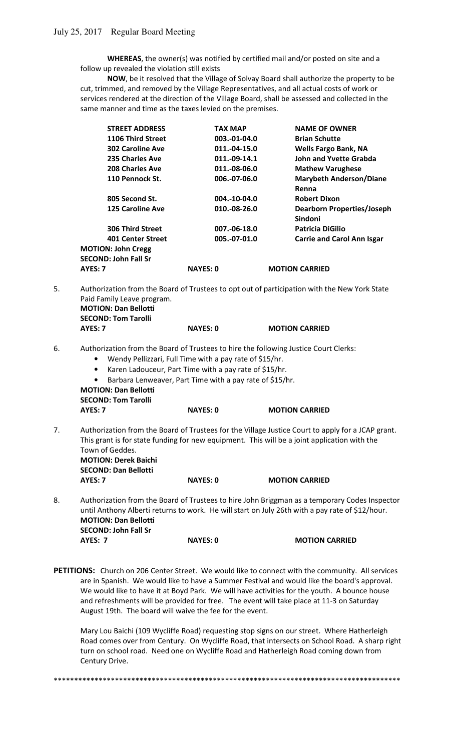**WHEREAS**, the owner(s) was notified by certified mail and/or posted on site and a follow up revealed the violation still exists

 **NOW**, be it resolved that the Village of Solvay Board shall authorize the property to be cut, trimmed, and removed by the Village Representatives, and all actual costs of work or services rendered at the direction of the Village Board, shall be assessed and collected in the same manner and time as the taxes levied on the premises.

| <b>STREET ADDRESS</b>       | <b>TAX MAP</b>  | <b>NAME OF OWNER</b>              |
|-----------------------------|-----------------|-----------------------------------|
| 1106 Third Street           | 003.-01-04.0    | <b>Brian Schutte</b>              |
| <b>302 Caroline Ave</b>     | 011.-04-15.0    | <b>Wells Fargo Bank, NA</b>       |
| 235 Charles Ave             | 011.-09-14.1    | <b>John and Yvette Grabda</b>     |
| <b>208 Charles Ave</b>      | 011.-08-06.0    | <b>Mathew Varughese</b>           |
| 110 Pennock St.             | 006.-07-06.0    | <b>Marybeth Anderson/Diane</b>    |
|                             |                 | Renna                             |
| 805 Second St.              | 004.-10-04.0    | <b>Robert Dixon</b>               |
| <b>125 Caroline Ave</b>     | 010.-08-26.0    | <b>Dearborn Properties/Joseph</b> |
|                             |                 | Sindoni                           |
| <b>306 Third Street</b>     | 007.-06-18.0    | <b>Patricia DiGilio</b>           |
| <b>401 Center Street</b>    | 005.-07-01.0    | <b>Carrie and Carol Ann Isgar</b> |
| <b>MOTION: John Cregg</b>   |                 |                                   |
| <b>SECOND: John Fall Sr</b> |                 |                                   |
| AYES: 7                     | <b>NAYES: 0</b> | <b>MOTION CARRIED</b>             |

5. Authorization from the Board of Trustees to opt out of participation with the New York State Paid Family Leave program. **MOTION: Dan Bellotti** 

**SECOND: Tom Tarolli** 

**AYES: 7 NAYES: 0 MOTION CARRIED** 

- 6. Authorization from the Board of Trustees to hire the following Justice Court Clerks:
	- Wendy Pellizzari, Full Time with a pay rate of \$15/hr.
	- Karen Ladouceur, Part Time with a pay rate of \$15/hr.
	- Barbara Lenweaver, Part Time with a pay rate of \$15/hr.

**MOTION: Dan Bellotti SECOND: Tom Tarolli AYES: 7 NAYES: 0 MOTION CARRIED** 

7. Authorization from the Board of Trustees for the Village Justice Court to apply for a JCAP grant. This grant is for state funding for new equipment. This will be a joint application with the Town of Geddes. **MOTION: Derek Baichi** 

**SECOND: Dan Bellotti AYES: 7 NAYES: 0 MOTION CARRIED** 

- 8. Authorization from the Board of Trustees to hire John Briggman as a temporary Codes Inspector until Anthony Alberti returns to work. He will start on July 26th with a pay rate of \$12/hour. **MOTION: Dan Bellotti SECOND: John Fall Sr**  AYES: 7 NAYES: 0 MOTION CARRIED
- PETITIONS: Church on 206 Center Street. We would like to connect with the community. All services are in Spanish. We would like to have a Summer Festival and would like the board's approval. We would like to have it at Boyd Park. We will have activities for the youth. A bounce house and refreshments will be provided for free.The event will take place at 11-3 on Saturday August 19th. The board will waive the fee for the event.

 Mary Lou Baichi (109 Wycliffe Road) requesting stop signs on our street. Where Hatherleigh Road comes over from Century. On Wycliffe Road, that intersects on School Road. A sharp right turn on school road. Need one on Wycliffe Road and Hatherleigh Road coming down from Century Drive.

\*\*\*\*\*\*\*\*\*\*\*\*\*\*\*\*\*\*\*\*\*\*\*\*\*\*\*\*\*\*\*\*\*\*\*\*\*\*\*\*\*\*\*\*\*\*\*\*\*\*\*\*\*\*\*\*\*\*\*\*\*\*\*\*\*\*\*\*\*\*\*\*\*\*\*\*\*\*\*\*\*\*\*\*\*